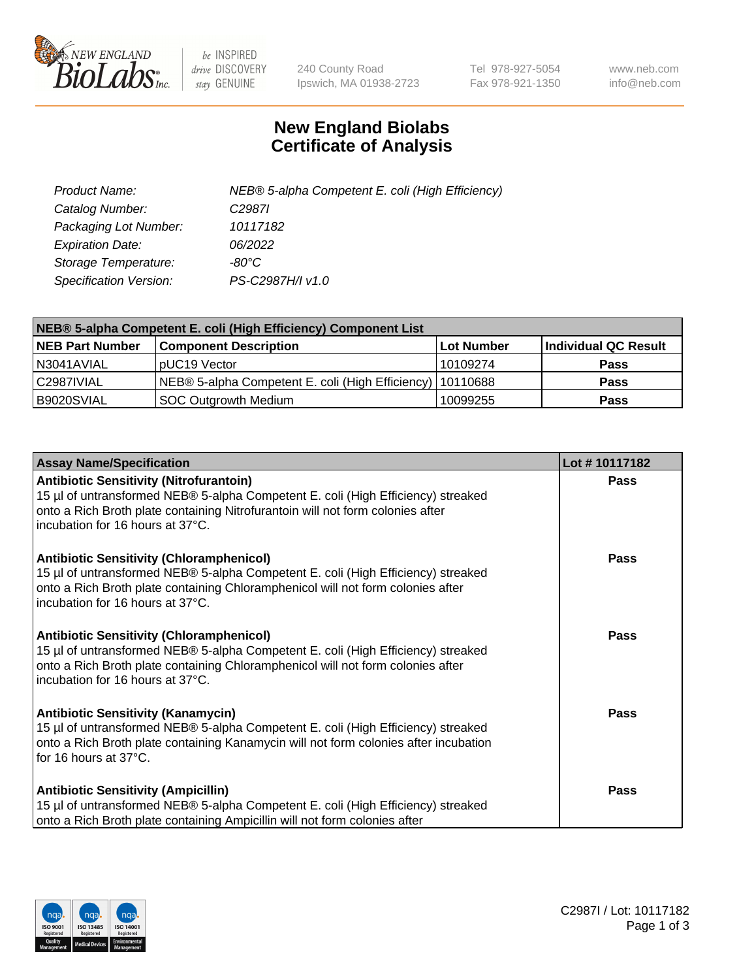

 $be$  INSPIRED drive DISCOVERY stay GENUINE

240 County Road Ipswich, MA 01938-2723 Tel 978-927-5054 Fax 978-921-1350 www.neb.com info@neb.com

## **New England Biolabs Certificate of Analysis**

| Product Name:                 | NEB® 5-alpha Competent E. coli (High Efficiency) |
|-------------------------------|--------------------------------------------------|
| Catalog Number:               | C <sub>2987</sub>                                |
| Packaging Lot Number:         | 10117182                                         |
| <b>Expiration Date:</b>       | 06/2022                                          |
| Storage Temperature:          | -80°C                                            |
| <b>Specification Version:</b> | PS-C2987H/I v1.0                                 |

| NEB® 5-alpha Competent E. coli (High Efficiency) Component List |                                                             |            |                      |  |
|-----------------------------------------------------------------|-------------------------------------------------------------|------------|----------------------|--|
| <b>NEB Part Number</b>                                          | <b>Component Description</b>                                | Lot Number | Individual QC Result |  |
| N3041AVIAL                                                      | pUC19 Vector                                                | 10109274   | <b>Pass</b>          |  |
| C2987IVIAL                                                      | NEB® 5-alpha Competent E. coli (High Efficiency)   10110688 |            | <b>Pass</b>          |  |
| B9020SVIAL                                                      | <b>SOC Outgrowth Medium</b>                                 | 10099255   | <b>Pass</b>          |  |

| <b>Assay Name/Specification</b>                                                                                                                                                                                                                            | Lot #10117182 |
|------------------------------------------------------------------------------------------------------------------------------------------------------------------------------------------------------------------------------------------------------------|---------------|
| <b>Antibiotic Sensitivity (Nitrofurantoin)</b><br>15 µl of untransformed NEB® 5-alpha Competent E. coli (High Efficiency) streaked<br>onto a Rich Broth plate containing Nitrofurantoin will not form colonies after<br>incubation for 16 hours at 37°C.   | Pass          |
| <b>Antibiotic Sensitivity (Chloramphenicol)</b><br>15 µl of untransformed NEB® 5-alpha Competent E. coli (High Efficiency) streaked<br>onto a Rich Broth plate containing Chloramphenicol will not form colonies after<br>incubation for 16 hours at 37°C. | Pass          |
| <b>Antibiotic Sensitivity (Chloramphenicol)</b><br>15 µl of untransformed NEB® 5-alpha Competent E. coli (High Efficiency) streaked<br>onto a Rich Broth plate containing Chloramphenicol will not form colonies after<br>incubation for 16 hours at 37°C. | Pass          |
| <b>Antibiotic Sensitivity (Kanamycin)</b><br>15 µl of untransformed NEB® 5-alpha Competent E. coli (High Efficiency) streaked<br>onto a Rich Broth plate containing Kanamycin will not form colonies after incubation<br>for 16 hours at 37°C.             | Pass          |
| <b>Antibiotic Sensitivity (Ampicillin)</b><br>15 µl of untransformed NEB® 5-alpha Competent E. coli (High Efficiency) streaked<br>onto a Rich Broth plate containing Ampicillin will not form colonies after                                               | <b>Pass</b>   |

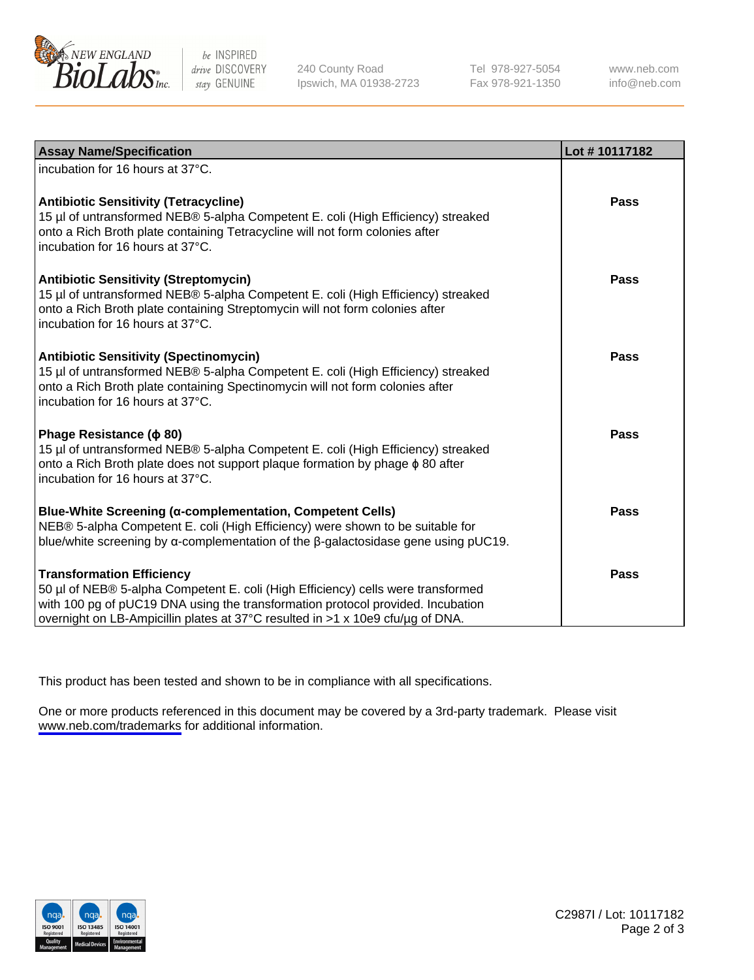

be INSPIRED drive DISCOVERY stay GENUINE

240 County Road Ipswich, MA 01938-2723 Tel 978-927-5054 Fax 978-921-1350

www.neb.com info@neb.com

| <b>Assay Name/Specification</b>                                                                                                                                                                                                                                                           | Lot #10117182 |
|-------------------------------------------------------------------------------------------------------------------------------------------------------------------------------------------------------------------------------------------------------------------------------------------|---------------|
| incubation for 16 hours at 37°C.                                                                                                                                                                                                                                                          |               |
| <b>Antibiotic Sensitivity (Tetracycline)</b><br>15 µl of untransformed NEB® 5-alpha Competent E. coli (High Efficiency) streaked<br>onto a Rich Broth plate containing Tetracycline will not form colonies after<br>incubation for 16 hours at 37°C.                                      | <b>Pass</b>   |
| <b>Antibiotic Sensitivity (Streptomycin)</b><br>15 µl of untransformed NEB® 5-alpha Competent E. coli (High Efficiency) streaked<br>onto a Rich Broth plate containing Streptomycin will not form colonies after<br>incubation for 16 hours at 37°C.                                      | Pass          |
| <b>Antibiotic Sensitivity (Spectinomycin)</b><br>15 µl of untransformed NEB® 5-alpha Competent E. coli (High Efficiency) streaked<br>onto a Rich Broth plate containing Spectinomycin will not form colonies after<br>incubation for 16 hours at 37°C.                                    | <b>Pass</b>   |
| Phage Resistance ( $\phi$ 80)<br>15 µl of untransformed NEB® 5-alpha Competent E. coli (High Efficiency) streaked<br>onto a Rich Broth plate does not support plaque formation by phage $\phi$ 80 after<br>incubation for 16 hours at 37°C.                                               | Pass          |
| Blue-White Screening (α-complementation, Competent Cells)<br>NEB® 5-alpha Competent E. coli (High Efficiency) were shown to be suitable for<br>blue/white screening by $\alpha$ -complementation of the $\beta$ -galactosidase gene using pUC19.                                          | Pass          |
| <b>Transformation Efficiency</b><br>50 µl of NEB® 5-alpha Competent E. coli (High Efficiency) cells were transformed<br>with 100 pg of pUC19 DNA using the transformation protocol provided. Incubation<br>overnight on LB-Ampicillin plates at 37°C resulted in >1 x 10e9 cfu/µg of DNA. | Pass          |

This product has been tested and shown to be in compliance with all specifications.

One or more products referenced in this document may be covered by a 3rd-party trademark. Please visit <www.neb.com/trademarks>for additional information.